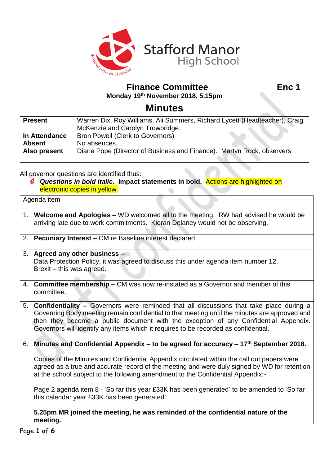

**Finance Committee Enc 1** 

**Monday 19 th November 2018, 5.15pm**

## **Minutes**

| <b>Present</b> | Warren Dix, Roy Williams, Ali Summers, Richard Lycett (Headteacher), Craig |  |  |
|----------------|----------------------------------------------------------------------------|--|--|
|                | McKenzie and Carolyn Trowbridge.                                           |  |  |
| In Attendance  | <b>Bron Powell (Clerk to Governors)</b>                                    |  |  |
| <b>Absent</b>  | No absences.                                                               |  |  |
| Also present   | Diane Pope (Director of Business and Finance). Martyn Rock, observers      |  |  |
|                |                                                                            |  |  |

All governor questions are identified thus:

*Questions in bold italic***. Impact statements in bold.** Actions are highlighted on electronic copies in yellow.

| Agenda item |                                                                                                                                                                                                                                                                                                                                                                               |  |
|-------------|-------------------------------------------------------------------------------------------------------------------------------------------------------------------------------------------------------------------------------------------------------------------------------------------------------------------------------------------------------------------------------|--|
| 1.          | Welcome and Apologies - WD welcomed all to the meeting. RW had advised he would be<br>arriving late due to work commitments. Kieran Delaney would not be observing.                                                                                                                                                                                                           |  |
| 2.          | <b>Pecuniary Interest - CM re Baseline interest declared.</b>                                                                                                                                                                                                                                                                                                                 |  |
| 3.1         | Agreed any other business -<br>Data Protection Policy, it was agreed to discuss this under agenda item number 12.<br>Brexit - this was agreed.                                                                                                                                                                                                                                |  |
|             | 4. Committee membership – CM was now re-instated as a Governor and member of this<br>committee.                                                                                                                                                                                                                                                                               |  |
| 5.          | <b>Confidentiality - Governors were reminded that all discussions that take place during a</b><br>Governing Body meeting remain confidential to that meeting until the minutes are approved and<br>then they become a public document with the exception of any Confidential Appendix.<br>Governors will identify any items which it requires to be recorded as confidential. |  |
| 6.          | Minutes and Confidential Appendix – to be agreed for accuracy $-17th$ September 2018.                                                                                                                                                                                                                                                                                         |  |
|             | Copies of the Minutes and Confidential Appendix circulated within the call out papers were<br>agreed as a true and accurate record of the meeting and were duly signed by WD for retention<br>at the school subject to the following amendment to the Confidential Appendix:-                                                                                                 |  |
|             | Page 2 agenda item 8 - 'So far this year £33K has been generated' to be amended to 'So far<br>this calendar year £33K has been generated'.                                                                                                                                                                                                                                    |  |
|             | 5.25pm MR joined the meeting, he was reminded of the confidential nature of the<br>meeting.                                                                                                                                                                                                                                                                                   |  |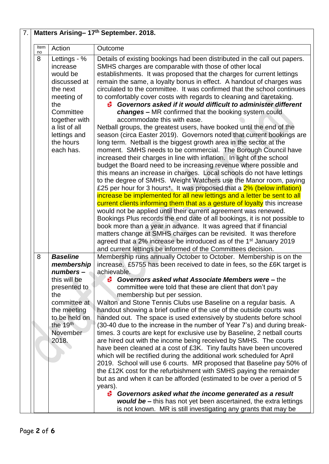| Item    | Action                                                                                                                                                                         | Outcome                                                                                                                                                                                                                                                                                                                                                                                                                                                                                                                                                                                                                                                                                                                                                                                                                                                                                                                                                                                                                                                                                                             |
|---------|--------------------------------------------------------------------------------------------------------------------------------------------------------------------------------|---------------------------------------------------------------------------------------------------------------------------------------------------------------------------------------------------------------------------------------------------------------------------------------------------------------------------------------------------------------------------------------------------------------------------------------------------------------------------------------------------------------------------------------------------------------------------------------------------------------------------------------------------------------------------------------------------------------------------------------------------------------------------------------------------------------------------------------------------------------------------------------------------------------------------------------------------------------------------------------------------------------------------------------------------------------------------------------------------------------------|
| no<br>8 | Lettings - %<br>increase<br>would be<br>discussed at<br>the next<br>meeting of<br>the<br>Committee<br>together with<br>a list of all<br>lettings and<br>the hours<br>each has. | Details of existing bookings had been distributed in the call out papers.<br>SMHS charges are comparable with those of other local<br>establishments. It was proposed that the charges for current lettings<br>remain the same, a loyalty bonus in effect. A handout of charges was<br>circulated to the committee. It was confirmed that the school continues<br>to comfortably cover costs with regards to cleaning and caretaking.<br>Governors asked if it would difficult to administer different<br>é.<br>changes - MR confirmed that the booking system could<br>accommodate this with ease.<br>Netball groups, the greatest users, have booked until the end of the<br>season (circa Easter 2019). Governors noted that current bookings are<br>long term. Netball is the biggest growth area in the sector at the<br>moment. SMHS needs to be commercial. The Borough Council have<br>increased their charges in line with inflation. In light of the school<br>budget the Board need to be increasing revenue where possible and<br>this means an increase in charges. Local schools do not have lettings |
|         |                                                                                                                                                                                | to the degree of SMHS. Weight Watchers use the Manor room, paying<br>£25 per hour for 3 hours*. It was proposed that a 2% (below inflation)<br>increase be implemented for all new lettings and a letter be sent to all<br>current clients informing them that as a gesture of loyalty this increase<br>would not be applied until their current agreement was renewed.<br>Bookings Plus records the end date of all bookings, it is not possible to<br>book more than a year in advance. It was agreed that if financial<br>matters change at SMHS charges can be revisited. It was therefore<br>agreed that a 2% increase be introduced as of the 1 <sup>st</sup> January 2019<br>and current lettings be informed of the Committees decision.                                                                                                                                                                                                                                                                                                                                                                    |
| 8       | <b>Baseline</b><br>membership<br>$numbers -$<br>this will be<br>presented to<br>the<br>committee at<br>the meeting<br>to be held on<br>the $19th$<br>November<br>2018.         | Membership runs annually October to October. Membership is on the<br>increase. £5755 has been received to date in fees, so the £6K target is<br>achievable.<br>Governors asked what Associate Members were - the<br>Ö.<br>committee were told that these are client that don't pay<br>membership but per session.<br>Walton and Stone Tennis Clubs use Baseline on a regular basis. A<br>handout showing a brief outline of the use of the outside courts was<br>handed out. The space is used extensively by students before school<br>(30-40 due to the increase in the number of Year 7's) and during break-<br>times. 3 courts are kept for exclusive use by Baseline, 2 netball courts<br>are hired out with the income being received by SMHS. The courts<br>have been cleaned at a cost of £3K. Tiny faults have been uncovered                                                                                                                                                                                                                                                                              |
|         |                                                                                                                                                                                | which will be rectified during the additional work scheduled for April<br>2019. School will use 6 courts. MR proposed that Baseline pay 50% of<br>the £12K cost for the refurbishment with SMHS paying the remainder<br>but as and when it can be afforded (estimated to be over a period of 5<br>years).<br>Governors asked what the income generated as a result<br>⊛<br><b>would be -</b> this has not yet been ascertained, the extra lettings<br>is not known. MR is still investigating any grants that may be                                                                                                                                                                                                                                                                                                                                                                                                                                                                                                                                                                                                |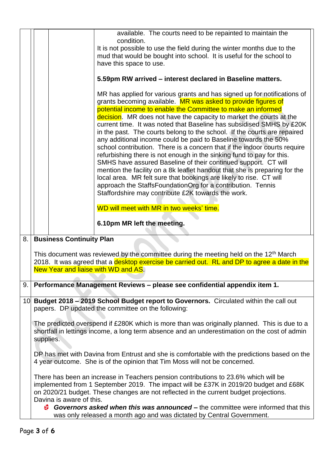|    | available. The courts need to be repainted to maintain the<br>condition.                                                                                                     |                                                                                                 |                                                                                                                                              |  |  |  |
|----|------------------------------------------------------------------------------------------------------------------------------------------------------------------------------|-------------------------------------------------------------------------------------------------|----------------------------------------------------------------------------------------------------------------------------------------------|--|--|--|
|    |                                                                                                                                                                              | It is not possible to use the field during the winter months due to the                         |                                                                                                                                              |  |  |  |
|    |                                                                                                                                                                              |                                                                                                 |                                                                                                                                              |  |  |  |
|    |                                                                                                                                                                              | mud that would be bought into school. It is useful for the school to<br>have this space to use. |                                                                                                                                              |  |  |  |
|    |                                                                                                                                                                              |                                                                                                 |                                                                                                                                              |  |  |  |
|    |                                                                                                                                                                              |                                                                                                 | 5.59pm RW arrived – interest declared in Baseline matters.                                                                                   |  |  |  |
|    |                                                                                                                                                                              |                                                                                                 | MR has applied for various grants and has signed up for notifications of                                                                     |  |  |  |
|    |                                                                                                                                                                              |                                                                                                 | grants becoming available. MR was asked to provide figures of                                                                                |  |  |  |
|    |                                                                                                                                                                              |                                                                                                 | potential income to enable the Committee to make an informed                                                                                 |  |  |  |
|    |                                                                                                                                                                              |                                                                                                 | decision. MR does not have the capacity to market the courts at the                                                                          |  |  |  |
|    |                                                                                                                                                                              |                                                                                                 | current time. It was noted that Baseline has subsidised SMHS by £20K                                                                         |  |  |  |
|    |                                                                                                                                                                              |                                                                                                 | in the past. The courts belong to the school. If the courts are repaired                                                                     |  |  |  |
|    |                                                                                                                                                                              |                                                                                                 | any additional income could be paid to Baseline towards the 50%                                                                              |  |  |  |
|    |                                                                                                                                                                              |                                                                                                 | school contribution. There is a concern that if the indoor courts require                                                                    |  |  |  |
|    |                                                                                                                                                                              |                                                                                                 | refurbishing there is not enough in the sinking fund to pay for this.                                                                        |  |  |  |
|    |                                                                                                                                                                              |                                                                                                 | SMHS have assured Baseline of their continued support. CT will<br>mention the facility on a 8k leaflet handout that she is preparing for the |  |  |  |
|    |                                                                                                                                                                              |                                                                                                 | local area. MR felt sure that bookings are likely to rise. CT will                                                                           |  |  |  |
|    |                                                                                                                                                                              |                                                                                                 | approach the StaffsFoundationOrg for a contribution. Tennis                                                                                  |  |  |  |
|    |                                                                                                                                                                              |                                                                                                 | Staffordshire may contribute £2K towards the work.                                                                                           |  |  |  |
|    |                                                                                                                                                                              |                                                                                                 |                                                                                                                                              |  |  |  |
|    |                                                                                                                                                                              |                                                                                                 | WD will meet with MR in two weeks' time.                                                                                                     |  |  |  |
|    |                                                                                                                                                                              |                                                                                                 | 6.10pm MR left the meeting.                                                                                                                  |  |  |  |
|    |                                                                                                                                                                              |                                                                                                 |                                                                                                                                              |  |  |  |
| 8. |                                                                                                                                                                              | <b>Business Continuity Plan</b>                                                                 |                                                                                                                                              |  |  |  |
|    |                                                                                                                                                                              |                                                                                                 | This document was reviewed by the committee during the meeting held on the 12 <sup>th</sup> March                                            |  |  |  |
|    |                                                                                                                                                                              |                                                                                                 | 2018. It was agreed that a desktop exercise be carried out. RL and DP to agree a date in the                                                 |  |  |  |
|    |                                                                                                                                                                              |                                                                                                 | New Year and liaise with WD and AS.                                                                                                          |  |  |  |
|    |                                                                                                                                                                              |                                                                                                 |                                                                                                                                              |  |  |  |
| 9. |                                                                                                                                                                              |                                                                                                 | Performance Management Reviews - please see confidential appendix item 1.                                                                    |  |  |  |
|    |                                                                                                                                                                              |                                                                                                 |                                                                                                                                              |  |  |  |
|    | Budget 2018 - 2019 School Budget report to Governors. Circulated within the call out<br>10 <sup>1</sup><br>papers. DP updated the committee on the following:                |                                                                                                 |                                                                                                                                              |  |  |  |
|    |                                                                                                                                                                              |                                                                                                 |                                                                                                                                              |  |  |  |
|    | The predicted overspend if £280K which is more than was originally planned. This is due to a                                                                                 |                                                                                                 |                                                                                                                                              |  |  |  |
|    |                                                                                                                                                                              |                                                                                                 | shortfall in lettings income, a long term absence and an underestimation on the cost of admin                                                |  |  |  |
|    | supplies.                                                                                                                                                                    |                                                                                                 |                                                                                                                                              |  |  |  |
|    |                                                                                                                                                                              |                                                                                                 |                                                                                                                                              |  |  |  |
|    | DP has met with Davina from Entrust and she is comfortable with the predictions based on the                                                                                 |                                                                                                 |                                                                                                                                              |  |  |  |
|    | 4 year outcome. She is of the opinion that Tim Moss will not be concerned.                                                                                                   |                                                                                                 |                                                                                                                                              |  |  |  |
|    |                                                                                                                                                                              |                                                                                                 |                                                                                                                                              |  |  |  |
|    | There has been an increase in Teachers pension contributions to 23.6% which will be<br>implemented from 1 September 2019. The impact will be £37K in 2019/20 budget and £68K |                                                                                                 |                                                                                                                                              |  |  |  |
|    | on 2020/21 budget. These changes are not reflected in the current budget projections.                                                                                        |                                                                                                 |                                                                                                                                              |  |  |  |
|    | Davina is aware of this.                                                                                                                                                     |                                                                                                 |                                                                                                                                              |  |  |  |
|    | Governors asked when this was announced – the committee were informed that this                                                                                              |                                                                                                 |                                                                                                                                              |  |  |  |
|    |                                                                                                                                                                              |                                                                                                 | was only released a month ago and was dictated by Central Government.                                                                        |  |  |  |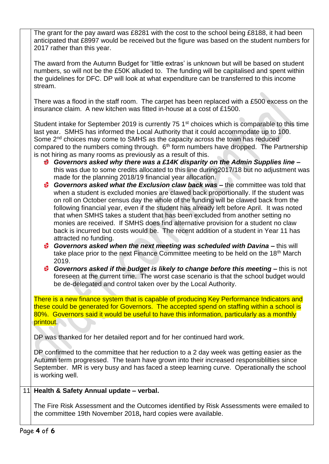The grant for the pay award was £8281 with the cost to the school being £8188, it had been anticipated that £8997 would be received but the figure was based on the student numbers for 2017 rather than this year.

The award from the Autumn Budget for 'little extras' is unknown but will be based on student numbers, so will not be the £50K alluded to. The funding will be capitalised and spent within the guidelines for DFC. DP will look at what expenditure can be transferred to this income stream.

There was a flood in the staff room. The carpet has been replaced with a £500 excess on the insurance claim. A new kitchen was fitted in-house at a cost of £1500.

Student intake for September 2019 is currently 75 1<sup>st</sup> choices which is comparable to this time last year. SMHS has informed the Local Authority that it could accommodate up to 100. Some 2<sup>nd</sup> choices may come to SMHS as the capacity across the town has reduced compared to the numbers coming through.  $6<sup>th</sup>$  form numbers have dropped. The Partnership is not hiring as many rooms as previously as a result of this.

- *Governors asked why there was a £14K disparity on the Admin Supplies line –* this was due to some credits allocated to this line during2017/18 but no adjustment was made for the planning 2018/19 financial year allocation.
- *Governors asked what the Exclusion claw back was –* the committee was told that when a student is excluded monies are clawed back proportionally. If the student was on roll on October census day the whole of the funding will be clawed back from the following financial year, even if the student has already left before April. It was noted that when SMHS takes a student that has been excluded from another setting no monies are received. If SMHS does find alternative provision for a student no claw back is incurred but costs would be. The recent addition of a student in Year 11 has attracted no funding.
- *Governors asked when the next meeting was scheduled with Davina –* this will take place prior to the next Finance Committee meeting to be held on the 18th March 2019.
- *Governors asked if the budget is likely to change before this meeting –* this is not foreseen at the current time. The worst case scenario is that the school budget would be de-delegated and control taken over by the Local Authority.

There is a new finance system that is capable of producing Key Performance Indicators and these could be generated for Governors. The accepted spend on staffing within a school is 80%. Governors said it would be useful to have this information, particularly as a monthly printout.

DP was thanked for her detailed report and for her continued hard work.

DP confirmed to the committee that her reduction to a 2 day week was getting easier as the Autumn term progressed. The team have grown into their increased responsiblilties since September. MR is very busy and has faced a steep learning curve. Operationally the school is working well.

## 11. **Health & Safety Annual update – verbal.**

The Fire Risk Assessment and the Outcomes identified by Risk Assessments were emailed to the committee 19th November 2018**,** hard copies were available.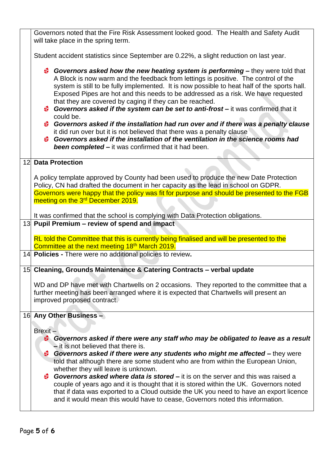| Governors noted that the Fire Risk Assessment looked good. The Health and Safety Audit<br>will take place in the spring term.                                                                                                                                                                                                                                                                                                                                                                                                                                                                                                                                                                                                                                                                                                                  |  |  |  |
|------------------------------------------------------------------------------------------------------------------------------------------------------------------------------------------------------------------------------------------------------------------------------------------------------------------------------------------------------------------------------------------------------------------------------------------------------------------------------------------------------------------------------------------------------------------------------------------------------------------------------------------------------------------------------------------------------------------------------------------------------------------------------------------------------------------------------------------------|--|--|--|
| Student accident statistics since September are 0.22%, a slight reduction on last year.                                                                                                                                                                                                                                                                                                                                                                                                                                                                                                                                                                                                                                                                                                                                                        |  |  |  |
| Governors asked how the new heating system is performing – they were told that<br>A Block is now warm and the feedback from lettings is positive. The control of the<br>system is still to be fully implemented. It is now possible to heat half of the sports hall.<br>Exposed Pipes are hot and this needs to be addressed as a risk. We have requested<br>that they are covered by caging if they can be reached.<br><b>Governors asked if the system can be set to anti-frost</b> – it was confirmed that it<br>could be.<br>Governors asked if the installation had run over and if there was a penalty clause<br>it did run over but it is not believed that there was a penalty clause<br>Covernors asked if the installation of the ventilation in the science rooms had<br><b>been completed –</b> it was confirmed that it had been. |  |  |  |
| 12 Data Protection                                                                                                                                                                                                                                                                                                                                                                                                                                                                                                                                                                                                                                                                                                                                                                                                                             |  |  |  |
| A policy template approved by County had been used to produce the new Date Protection<br>Policy, CN had drafted the document in her capacity as the lead in school on GDPR.<br>Governors were happy that the policy was fit for purpose and should be presented to the FGB<br>meeting on the 3 <sup>rd</sup> December 2019.                                                                                                                                                                                                                                                                                                                                                                                                                                                                                                                    |  |  |  |
| It was confirmed that the school is complying with Data Protection obligations.                                                                                                                                                                                                                                                                                                                                                                                                                                                                                                                                                                                                                                                                                                                                                                |  |  |  |
|                                                                                                                                                                                                                                                                                                                                                                                                                                                                                                                                                                                                                                                                                                                                                                                                                                                |  |  |  |
| 13 Pupil Premium – review of spend and impact                                                                                                                                                                                                                                                                                                                                                                                                                                                                                                                                                                                                                                                                                                                                                                                                  |  |  |  |
| RL told the Committee that this is currently being finalised and will be presented to the<br>Committee at the next meeting 18 <sup>th</sup> March 2019.                                                                                                                                                                                                                                                                                                                                                                                                                                                                                                                                                                                                                                                                                        |  |  |  |
| 14 Policies - There were no additional policies to review.                                                                                                                                                                                                                                                                                                                                                                                                                                                                                                                                                                                                                                                                                                                                                                                     |  |  |  |
| 15 Cleaning, Grounds Maintenance & Catering Contracts - verbal update                                                                                                                                                                                                                                                                                                                                                                                                                                                                                                                                                                                                                                                                                                                                                                          |  |  |  |
| WD and DP have met with Chartwells on 2 occasions. They reported to the committee that a<br>further meeting has been arranged where it is expected that Chartwells will present an<br>improved proposed contract.                                                                                                                                                                                                                                                                                                                                                                                                                                                                                                                                                                                                                              |  |  |  |
| 16 Any Other Business -                                                                                                                                                                                                                                                                                                                                                                                                                                                                                                                                                                                                                                                                                                                                                                                                                        |  |  |  |